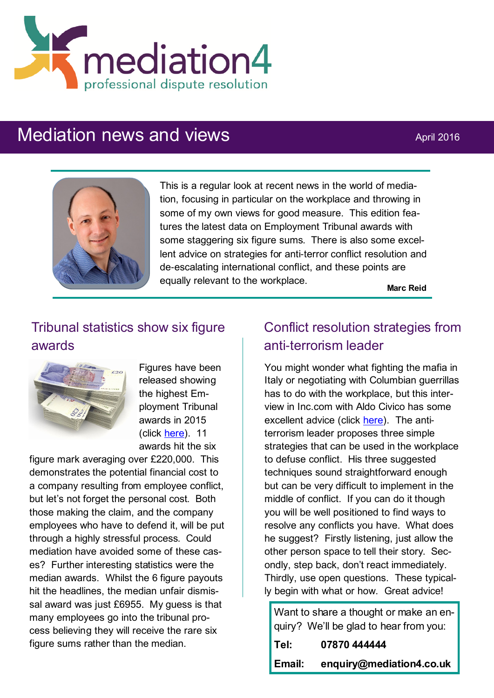

# Mediation news and views April 2016



This is a regular look at recent news in the world of mediation, focusing in particular on the workplace and throwing in some of my own views for good measure. This edition features the latest data on Employment Tribunal awards with some staggering six figure sums. There is also some excellent advice on strategies for anti-terror conflict resolution and de-escalating international conflict, and these points are equally relevant to the workplace.

**Marc Reid**

# Tribunal statistics show six figure awards



Figures have been released showing the highest Employment Tribunal awards in 2015 (click [here\)](http://www.personneltoday.com/hr/expensive-employment-tribunal-awards-12-expensive-awards-in-2015/). 11 awards hit the six

figure mark averaging over £220,000. This demonstrates the potential financial cost to a company resulting from employee conflict, but let's not forget the personal cost. Both those making the claim, and the company employees who have to defend it, will be put through a highly stressful process. Could mediation have avoided some of these cases? Further interesting statistics were the median awards. Whilst the 6 figure payouts hit the headlines, the median unfair dismissal award was just £6955. My guess is that many employees go into the tribunal process believing they will receive the rare six figure sums rather than the median.

# Conflict resolution strategies from anti-terrorism leader

You might wonder what fighting the mafia in Italy or negotiating with Columbian guerrillas has to do with the workplace, but this interview in Inc.com with Aldo Civico has some excellent advice (click [here\).](http://www.inc.com/bill-carmody/3-powerful-conflict-resolution-strategies-from-an-anti-terrorism-leader.html) The antiterrorism leader proposes three simple strategies that can be used in the workplace to defuse conflict. His three suggested techniques sound straightforward enough but can be very difficult to implement in the middle of conflict. If you can do it though you will be well positioned to find ways to resolve any conflicts you have. What does he suggest? Firstly listening, just allow the other person space to tell their story. Secondly, step back, don't react immediately. Thirdly, use open questions. These typically begin with what or how. Great advice!

Want to share a thought or make an enquiry? We'll be glad to hear from you:

| Tel:   | 07870 444444             |
|--------|--------------------------|
| Email: | enquiry@mediation4.co.uk |